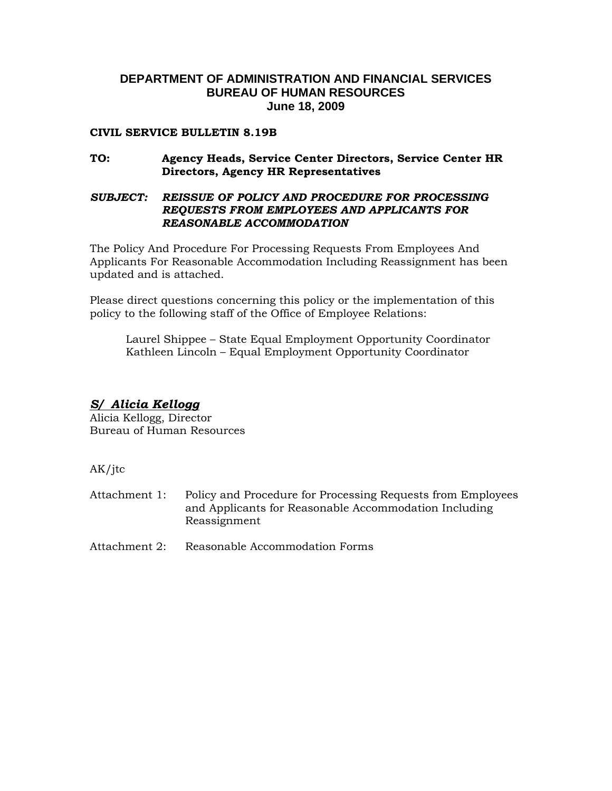#### **DEPARTMENT OF ADMINISTRATION AND FINANCIAL SERVICES BUREAU OF HUMAN RESOURCES June 18, 2009**

#### **CIVIL SERVICE BULLETIN 8.19B**

#### **TO: Agency Heads, Service Center Directors, Service Center HR Directors, Agency HR Representatives**

#### *SUBJECT: REISSUE OF POLICY AND PROCEDURE FOR PROCESSING REQUESTS FROM EMPLOYEES AND APPLICANTS FOR REASONABLE ACCOMMODATION*

The Policy And Procedure For Processing Requests From Employees And Applicants For Reasonable Accommodation Including Reassignment has been updated and is attached.

Please direct questions concerning this policy or the implementation of this policy to the following staff of the Office of Employee Relations:

Laurel Shippee – State Equal Employment Opportunity Coordinator Kathleen Lincoln – Equal Employment Opportunity Coordinator

#### *S/ Alicia Kellogg*

Alicia Kellogg, Director Bureau of Human Resources

AK/jtc

Attachment 1: Policy and Procedure for Processing Requests from Employees and Applicants for Reasonable Accommodation Including Reassignment

Attachment 2: Reasonable Accommodation Forms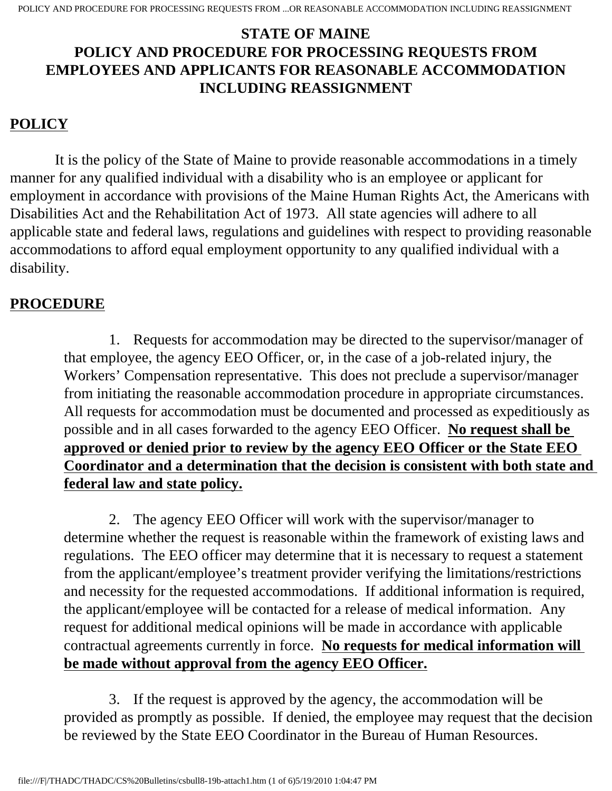# **STATE OF MAINE POLICY AND PROCEDURE FOR PROCESSING REQUESTS FROM EMPLOYEES AND APPLICANTS FOR REASONABLE ACCOMMODATION INCLUDING REASSIGNMENT**

# **POLICY**

 It is the policy of the State of Maine to provide reasonable accommodations in a timely manner for any qualified individual with a disability who is an employee or applicant for employment in accordance with provisions of the Maine Human Rights Act, the Americans with Disabilities Act and the Rehabilitation Act of 1973. All state agencies will adhere to all applicable state and federal laws, regulations and guidelines with respect to providing reasonable accommodations to afford equal employment opportunity to any qualified individual with a disability.

## **PROCEDURE**

 1. Requests for accommodation may be directed to the supervisor/manager of that employee, the agency EEO Officer, or, in the case of a job-related injury, the Workers' Compensation representative. This does not preclude a supervisor/manager from initiating the reasonable accommodation procedure in appropriate circumstances. All requests for accommodation must be documented and processed as expeditiously as possible and in all cases forwarded to the agency EEO Officer. **No request shall be approved or denied prior to review by the agency EEO Officer or the State EEO Coordinator and a determination that the decision is consistent with both state and federal law and state policy.** 

 2. The agency EEO Officer will work with the supervisor/manager to determine whether the request is reasonable within the framework of existing laws and regulations. The EEO officer may determine that it is necessary to request a statement from the applicant/employee's treatment provider verifying the limitations/restrictions and necessity for the requested accommodations. If additional information is required, the applicant/employee will be contacted for a release of medical information. Any request for additional medical opinions will be made in accordance with applicable contractual agreements currently in force. **No requests for medical information will be made without approval from the agency EEO Officer.**

 3. If the request is approved by the agency, the accommodation will be provided as promptly as possible. If denied, the employee may request that the decision be reviewed by the State EEO Coordinator in the Bureau of Human Resources.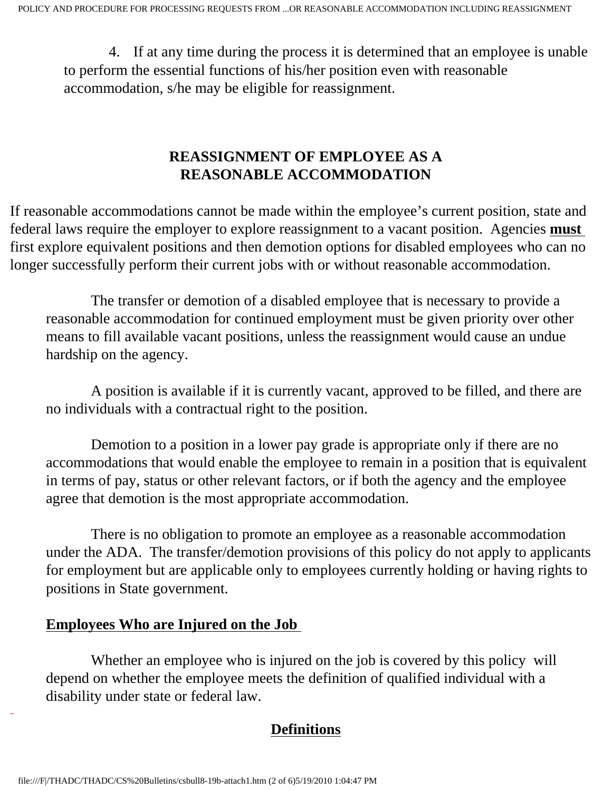4. If at any time during the process it is determined that an employee is unable to perform the essential functions of his/her position even with reasonable accommodation, s/he may be eligible for reassignment.

# **REASSIGNMENT OF EMPLOYEE AS A REASONABLE ACCOMMODATION**

If reasonable accommodations cannot be made within the employee's current position, state and federal laws require the employer to explore reassignment to a vacant position. Agencies **must**  first explore equivalent positions and then demotion options for disabled employees who can no longer successfully perform their current jobs with or without reasonable accommodation.

 The transfer or demotion of a disabled employee that is necessary to provide a reasonable accommodation for continued employment must be given priority over other means to fill available vacant positions, unless the reassignment would cause an undue hardship on the agency.

 A position is available if it is currently vacant, approved to be filled, and there are no individuals with a contractual right to the position.

 Demotion to a position in a lower pay grade is appropriate only if there are no accommodations that would enable the employee to remain in a position that is equivalent in terms of pay, status or other relevant factors, or if both the agency and the employee agree that demotion is the most appropriate accommodation.

 There is no obligation to promote an employee as a reasonable accommodation under the ADA. The transfer/demotion provisions of this policy do not apply to applicants for employment but are applicable only to employees currently holding or having rights to positions in State government.

## **Employees Who are Injured on the Job**

Whether an employee who is injured on the job is covered by this policy will depend on whether the employee meets the definition of qualified individual with a disability under state or federal law.

# **Definitions**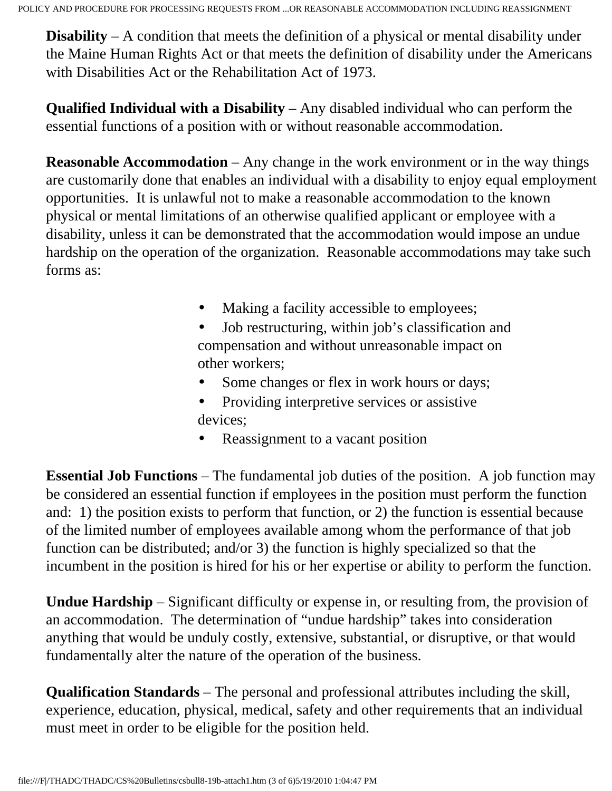**Disability** – A condition that meets the definition of a physical or mental disability under the Maine Human Rights Act or that meets the definition of disability under the Americans with Disabilities Act or the Rehabilitation Act of 1973.

**Qualified Individual with a Disability** – Any disabled individual who can perform the essential functions of a position with or without reasonable accommodation.

**Reasonable Accommodation** – Any change in the work environment or in the way things are customarily done that enables an individual with a disability to enjoy equal employment opportunities. It is unlawful not to make a reasonable accommodation to the known physical or mental limitations of an otherwise qualified applicant or employee with a disability, unless it can be demonstrated that the accommodation would impose an undue hardship on the operation of the organization. Reasonable accommodations may take such forms as:

- Making a facility accessible to employees;
- Job restructuring, within job's classification and compensation and without unreasonable impact on other workers;
- Some changes or flex in work hours or days;
- Providing interpretive services or assistive devices;
- Reassignment to a vacant position

**Essential Job Functions** – The fundamental job duties of the position. A job function may be considered an essential function if employees in the position must perform the function and: 1) the position exists to perform that function, or 2) the function is essential because of the limited number of employees available among whom the performance of that job function can be distributed; and/or 3) the function is highly specialized so that the incumbent in the position is hired for his or her expertise or ability to perform the function.

**Undue Hardship** – Significant difficulty or expense in, or resulting from, the provision of an accommodation. The determination of "undue hardship" takes into consideration anything that would be unduly costly, extensive, substantial, or disruptive, or that would fundamentally alter the nature of the operation of the business.

**Qualification Standards** – The personal and professional attributes including the skill, experience, education, physical, medical, safety and other requirements that an individual must meet in order to be eligible for the position held.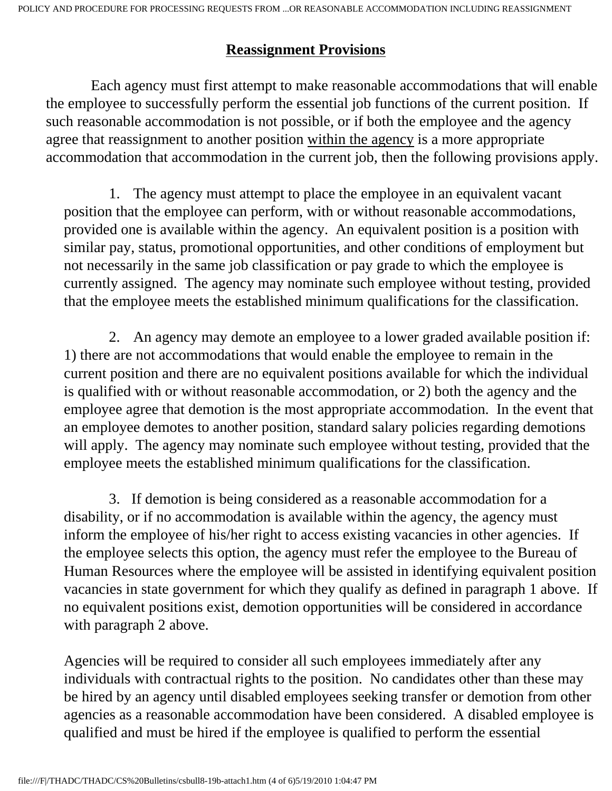### **Reassignment Provisions**

 Each agency must first attempt to make reasonable accommodations that will enable the employee to successfully perform the essential job functions of the current position. If such reasonable accommodation is not possible, or if both the employee and the agency agree that reassignment to another position within the agency is a more appropriate accommodation that accommodation in the current job, then the following provisions apply.

 1. The agency must attempt to place the employee in an equivalent vacant position that the employee can perform, with or without reasonable accommodations, provided one is available within the agency. An equivalent position is a position with similar pay, status, promotional opportunities, and other conditions of employment but not necessarily in the same job classification or pay grade to which the employee is currently assigned. The agency may nominate such employee without testing, provided that the employee meets the established minimum qualifications for the classification.

 2. An agency may demote an employee to a lower graded available position if: 1) there are not accommodations that would enable the employee to remain in the current position and there are no equivalent positions available for which the individual is qualified with or without reasonable accommodation, or 2) both the agency and the employee agree that demotion is the most appropriate accommodation. In the event that an employee demotes to another position, standard salary policies regarding demotions will apply. The agency may nominate such employee without testing, provided that the employee meets the established minimum qualifications for the classification.

 3. If demotion is being considered as a reasonable accommodation for a disability, or if no accommodation is available within the agency, the agency must inform the employee of his/her right to access existing vacancies in other agencies. If the employee selects this option, the agency must refer the employee to the Bureau of Human Resources where the employee will be assisted in identifying equivalent position vacancies in state government for which they qualify as defined in paragraph 1 above. If no equivalent positions exist, demotion opportunities will be considered in accordance with paragraph 2 above.

Agencies will be required to consider all such employees immediately after any individuals with contractual rights to the position. No candidates other than these may be hired by an agency until disabled employees seeking transfer or demotion from other agencies as a reasonable accommodation have been considered. A disabled employee is qualified and must be hired if the employee is qualified to perform the essential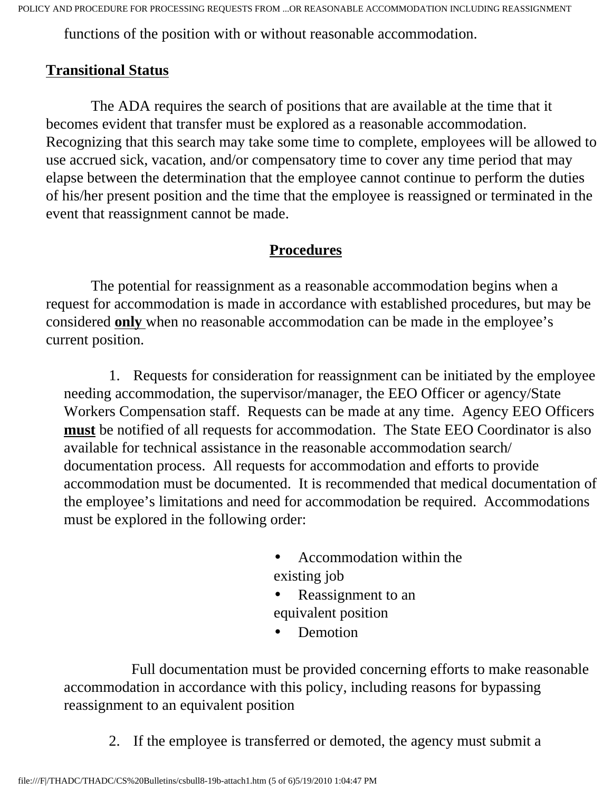POLICY AND PROCEDURE FOR PROCESSING REQUESTS FROM ...OR REASONABLE ACCOMMODATION INCLUDING REASSIGNMENT

functions of the position with or without reasonable accommodation.

### **Transitional Status**

 The ADA requires the search of positions that are available at the time that it becomes evident that transfer must be explored as a reasonable accommodation. Recognizing that this search may take some time to complete, employees will be allowed to use accrued sick, vacation, and/or compensatory time to cover any time period that may elapse between the determination that the employee cannot continue to perform the duties of his/her present position and the time that the employee is reassigned or terminated in the event that reassignment cannot be made.

## **Procedures**

 The potential for reassignment as a reasonable accommodation begins when a request for accommodation is made in accordance with established procedures, but may be considered **only** when no reasonable accommodation can be made in the employee's current position.

 1. Requests for consideration for reassignment can be initiated by the employee needing accommodation, the supervisor/manager, the EEO Officer or agency/State Workers Compensation staff. Requests can be made at any time. Agency EEO Officers **must** be notified of all requests for accommodation. The State EEO Coordinator is also available for technical assistance in the reasonable accommodation search/ documentation process. All requests for accommodation and efforts to provide accommodation must be documented. It is recommended that medical documentation of the employee's limitations and need for accommodation be required. Accommodations must be explored in the following order:

- Accommodation within the existing job
- Reassignment to an equivalent position
- Demotion

 Full documentation must be provided concerning efforts to make reasonable accommodation in accordance with this policy, including reasons for bypassing reassignment to an equivalent position

2. If the employee is transferred or demoted, the agency must submit a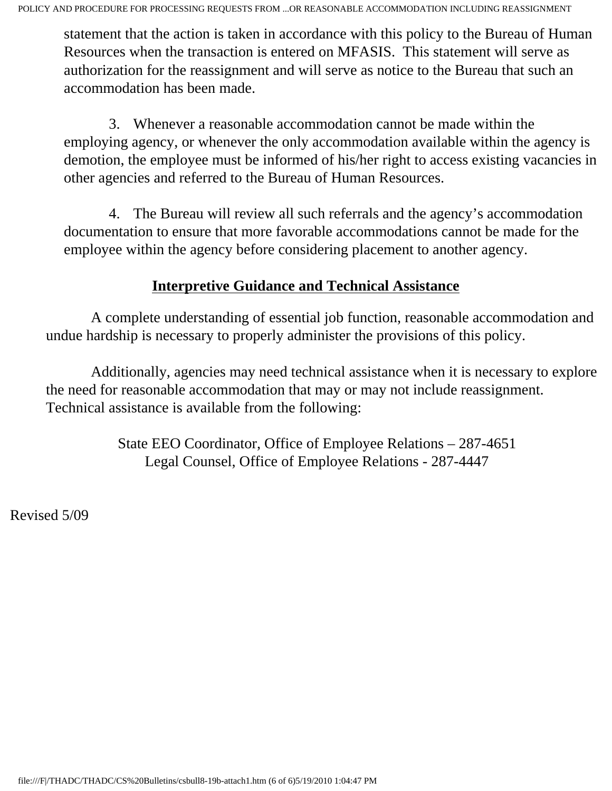statement that the action is taken in accordance with this policy to the Bureau of Human Resources when the transaction is entered on MFASIS. This statement will serve as authorization for the reassignment and will serve as notice to the Bureau that such an accommodation has been made.

 3. Whenever a reasonable accommodation cannot be made within the employing agency, or whenever the only accommodation available within the agency is demotion, the employee must be informed of his/her right to access existing vacancies in other agencies and referred to the Bureau of Human Resources.

 4. The Bureau will review all such referrals and the agency's accommodation documentation to ensure that more favorable accommodations cannot be made for the employee within the agency before considering placement to another agency.

# **Interpretive Guidance and Technical Assistance**

 A complete understanding of essential job function, reasonable accommodation and undue hardship is necessary to properly administer the provisions of this policy.

 Additionally, agencies may need technical assistance when it is necessary to explore the need for reasonable accommodation that may or may not include reassignment. Technical assistance is available from the following:

> State EEO Coordinator, Office of Employee Relations – 287-4651 Legal Counsel, Office of Employee Relations - 287-4447

Revised 5/09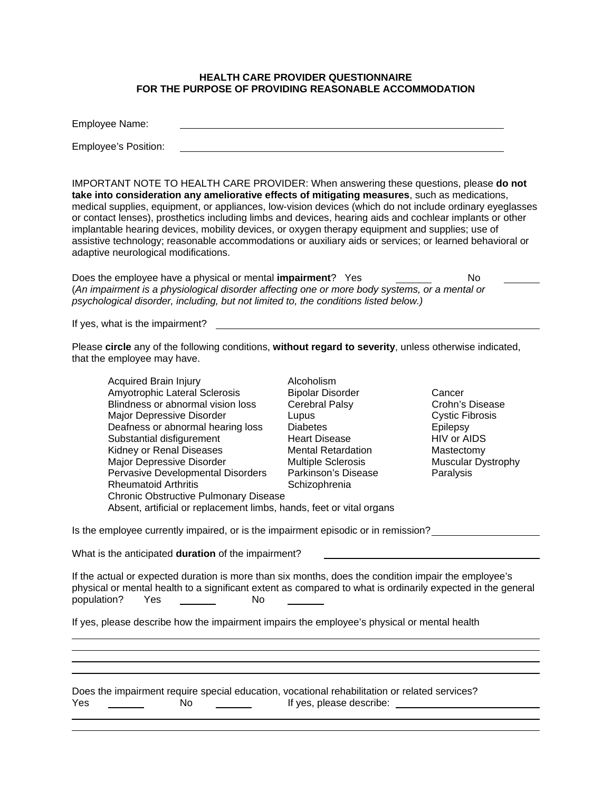#### **HEALTH CARE PROVIDER QUESTIONNAIRE FOR THE PURPOSE OF PROVIDING REASONABLE ACCOMMODATION**

| Employee Name:              |  |
|-----------------------------|--|
| <b>Employee's Position:</b> |  |

IMPORTANT NOTE TO HEALTH CARE PROVIDER: When answering these questions, please **do not take into consideration any ameliorative effects of mitigating measures**, such as medications, medical supplies, equipment, or appliances, low-vision devices (which do not include ordinary eyeglasses or contact lenses), prosthetics including limbs and devices, hearing aids and cochlear implants or other implantable hearing devices, mobility devices, or oxygen therapy equipment and supplies; use of assistive technology; reasonable accommodations or auxiliary aids or services; or learned behavioral or adaptive neurological modifications.

| Does the employee have a physical or mental <b>impairment</b> ? Yes                           | N٥ |
|-----------------------------------------------------------------------------------------------|----|
| (An impairment is a physiological disorder affecting one or more body systems, or a mental or |    |
| psychological disorder, including, but not limited to, the conditions listed below.)          |    |

If yes, what is the impairment?

 $\overline{a}$ 

Please **circle** any of the following conditions, **without regard to severity**, unless otherwise indicated, that the employee may have.

| <b>Acquired Brain Injury</b>                                         | Alcoholism                |                           |
|----------------------------------------------------------------------|---------------------------|---------------------------|
| Amyotrophic Lateral Sclerosis                                        | <b>Bipolar Disorder</b>   | Cancer                    |
| Blindness or abnormal vision loss                                    | Cerebral Palsy            | Crohn's Disease           |
| Major Depressive Disorder                                            | Lupus                     | <b>Cystic Fibrosis</b>    |
| Deafness or abnormal hearing loss                                    | <b>Diabetes</b>           | Epilepsy                  |
| Substantial disfigurement                                            | <b>Heart Disease</b>      | HIV or AIDS               |
| Kidney or Renal Diseases                                             | <b>Mental Retardation</b> | Mastectomy                |
| Major Depressive Disorder                                            | <b>Multiple Sclerosis</b> | <b>Muscular Dystrophy</b> |
| Pervasive Developmental Disorders                                    | Parkinson's Disease       | Paralysis                 |
| <b>Rheumatoid Arthritis</b>                                          | Schizophrenia             |                           |
| <b>Chronic Obstructive Pulmonary Disease</b>                         |                           |                           |
| Absent, artificial or replacement limbs, hands, feet or vital organs |                           |                           |
|                                                                      |                           |                           |

Is the employee currently impaired, or is the impairment episodic or in remission?

What is the anticipated **duration** of the impairment?

|             |     | If the actual or expected duration is more than six months, does the condition impair the employee's        |  |  |  |
|-------------|-----|-------------------------------------------------------------------------------------------------------------|--|--|--|
|             |     | physical or mental health to a significant extent as compared to what is ordinarily expected in the general |  |  |  |
| population? | Yes | No                                                                                                          |  |  |  |

If yes, please describe how the impairment impairs the employee's physical or mental health

|     |     |  |                          | Does the impairment require special education, vocational rehabilitation or related services? |
|-----|-----|--|--------------------------|-----------------------------------------------------------------------------------------------|
| Yes | No. |  | If yes, please describe: |                                                                                               |
|     |     |  |                          |                                                                                               |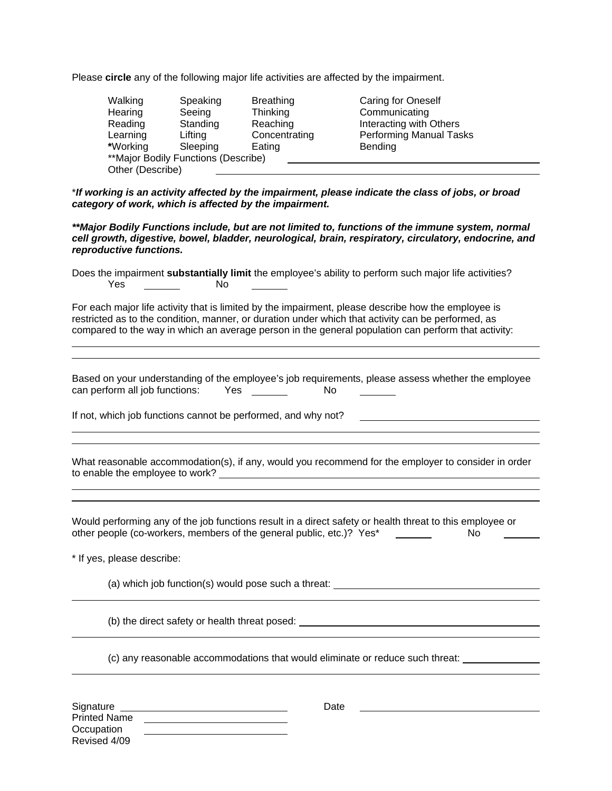Please **circle** any of the following major life activities are affected by the impairment.

| Walking          | Speaking                            | <b>Breathing</b> | <b>Caring for Oneself</b>      |
|------------------|-------------------------------------|------------------|--------------------------------|
| Hearing          | Seeing                              | <b>Thinking</b>  | Communicating                  |
| Reading          | Standing                            | Reaching         | Interacting with Others        |
| Learning         | Lifting                             | Concentrating    | <b>Performing Manual Tasks</b> |
| *Working         | Sleeping                            | Eating           | Bending                        |
|                  | **Major Bodily Functions (Describe) |                  |                                |
| Other (Describe) |                                     |                  |                                |

\**If working is an activity affected by the impairment, please indicate the class of jobs, or broad category of work, which is affected by the impairment.* 

*\*\*Major Bodily Functions include, but are not limited to, functions of the immune system, normal cell growth, digestive, bowel, bladder, neurological, brain, respiratory, circulatory, endocrine, and reproductive functions.* 

Does the impairment **substantially limit** the employee's ability to perform such major life activities? Yes No

For each major life activity that is limited by the impairment, please describe how the employee is restricted as to the condition, manner, or duration under which that activity can be performed, as compared to the way in which an average person in the general population can perform that activity:

Based on your understanding of the employee's job requirements, please assess whether the employee can perform all job functions: Yes No

If not, which job functions cannot be performed, and why not?

What reasonable accommodation(s), if any, would you recommend for the employer to consider in order to enable the employee to work?

Would performing any of the job functions result in a direct safety or health threat to this employee or other people (co-workers, members of the general public, etc.)? Yes\* \_\_\_\_\_\_\_\_\_\_\_\_

\* If yes, please describe:

 $\overline{a}$ 

(a) which job function(s) would pose such a threat:

(b) the direct safety or health threat posed:

(c) any reasonable accommodations that would eliminate or reduce such threat:

| Signature    | Date |
|--------------|------|
| Printed Name |      |
| Occupation   |      |
| Revised 4/09 |      |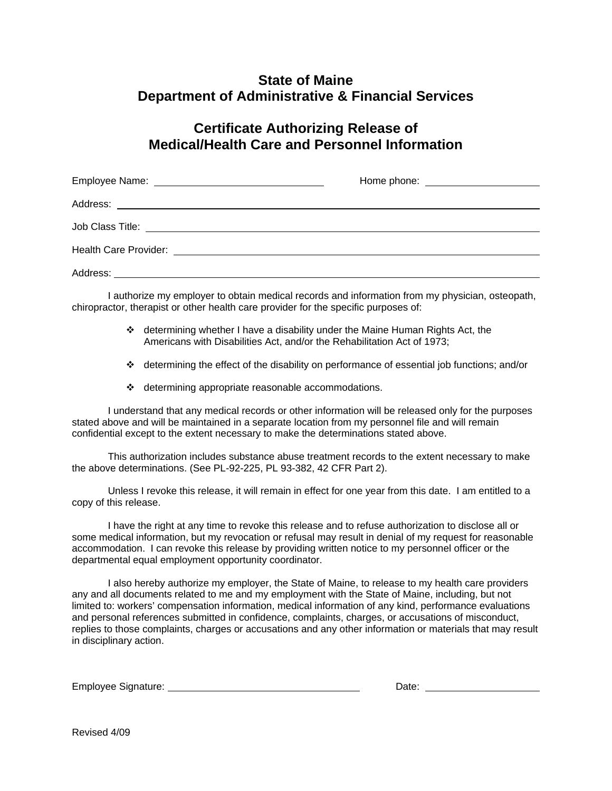### **State of Maine Department of Administrative & Financial Services**

### **Certificate Authorizing Release of Medical/Health Care and Personnel Information**

 I authorize my employer to obtain medical records and information from my physician, osteopath, chiropractor, therapist or other health care provider for the specific purposes of:

- determining whether I have a disability under the Maine Human Rights Act, the Americans with Disabilities Act, and/or the Rehabilitation Act of 1973;
- determining the effect of the disability on performance of essential job functions; and/or
- ❖ determining appropriate reasonable accommodations.

I understand that any medical records or other information will be released only for the purposes stated above and will be maintained in a separate location from my personnel file and will remain confidential except to the extent necessary to make the determinations stated above.

This authorization includes substance abuse treatment records to the extent necessary to make the above determinations. (See PL-92-225, PL 93-382, 42 CFR Part 2).

Unless I revoke this release, it will remain in effect for one year from this date. I am entitled to a copy of this release.

I have the right at any time to revoke this release and to refuse authorization to disclose all or some medical information, but my revocation or refusal may result in denial of my request for reasonable accommodation. I can revoke this release by providing written notice to my personnel officer or the departmental equal employment opportunity coordinator.

I also hereby authorize my employer, the State of Maine, to release to my health care providers any and all documents related to me and my employment with the State of Maine, including, but not limited to: workers' compensation information, medical information of any kind, performance evaluations and personal references submitted in confidence, complaints, charges, or accusations of misconduct, replies to those complaints, charges or accusations and any other information or materials that may result in disciplinary action.

| <b>Employee Signature:</b> | Date |  |
|----------------------------|------|--|
|                            |      |  |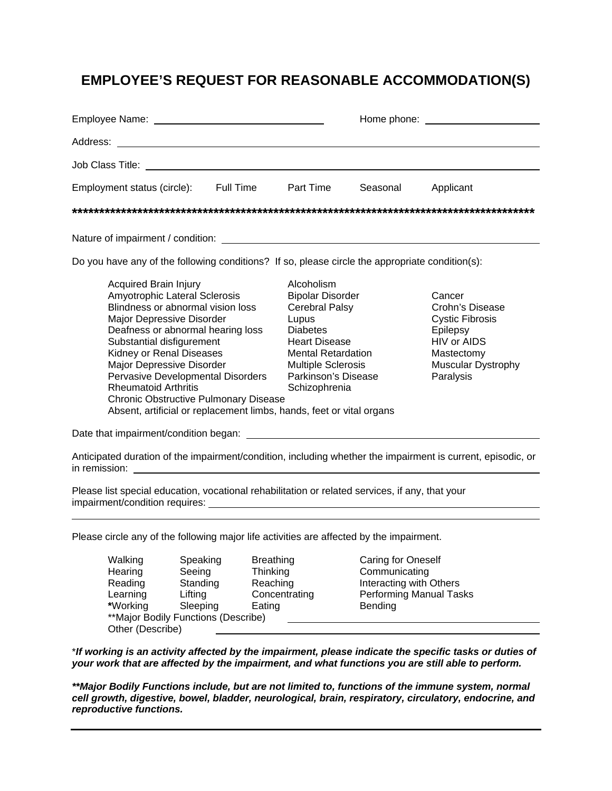### **EMPLOYEE'S REQUEST FOR REASONABLE ACCOMMODATION(S)**

|                                                                                                                                                                                                                                                                                                                                                                                                                                                                                                                                                                                                                                                                                                                                                                                                                   |                                                       |                                                                            |                                                                                  | Home phone: <u>________________________</u>                                                                 |  |  |
|-------------------------------------------------------------------------------------------------------------------------------------------------------------------------------------------------------------------------------------------------------------------------------------------------------------------------------------------------------------------------------------------------------------------------------------------------------------------------------------------------------------------------------------------------------------------------------------------------------------------------------------------------------------------------------------------------------------------------------------------------------------------------------------------------------------------|-------------------------------------------------------|----------------------------------------------------------------------------|----------------------------------------------------------------------------------|-------------------------------------------------------------------------------------------------------------|--|--|
|                                                                                                                                                                                                                                                                                                                                                                                                                                                                                                                                                                                                                                                                                                                                                                                                                   |                                                       |                                                                            |                                                                                  |                                                                                                             |  |  |
|                                                                                                                                                                                                                                                                                                                                                                                                                                                                                                                                                                                                                                                                                                                                                                                                                   |                                                       |                                                                            |                                                                                  |                                                                                                             |  |  |
| Employment status (circle): Full Time Part Time                                                                                                                                                                                                                                                                                                                                                                                                                                                                                                                                                                                                                                                                                                                                                                   |                                                       |                                                                            |                                                                                  | Seasonal Applicant                                                                                          |  |  |
|                                                                                                                                                                                                                                                                                                                                                                                                                                                                                                                                                                                                                                                                                                                                                                                                                   |                                                       |                                                                            |                                                                                  |                                                                                                             |  |  |
|                                                                                                                                                                                                                                                                                                                                                                                                                                                                                                                                                                                                                                                                                                                                                                                                                   |                                                       |                                                                            |                                                                                  |                                                                                                             |  |  |
| Do you have any of the following conditions? If so, please circle the appropriate condition(s):                                                                                                                                                                                                                                                                                                                                                                                                                                                                                                                                                                                                                                                                                                                   |                                                       |                                                                            |                                                                                  |                                                                                                             |  |  |
| <b>Acquired Brain Injury</b><br>Alcoholism<br>Amyotrophic Lateral Sclerosis<br><b>Bipolar Disorder</b><br>Cancer<br>Blindness or abnormal vision loss<br>Cerebral Palsy<br>Crohn's Disease<br>Major Depressive Disorder<br><b>Cystic Fibrosis</b><br>Lupus<br>Deafness or abnormal hearing loss<br><b>Diabetes</b><br>Epilepsy<br>Substantial disfigurement<br><b>Heart Disease</b><br>HIV or AIDS<br>Kidney or Renal Diseases<br><b>Mental Retardation</b><br>Mastectomy<br>Major Depressive Disorder<br><b>Multiple Sclerosis</b><br><b>Muscular Dystrophy</b><br>Pervasive Developmental Disorders<br>Parkinson's Disease<br>Paralysis<br><b>Rheumatoid Arthritis</b><br>Schizophrenia<br><b>Chronic Obstructive Pulmonary Disease</b><br>Absent, artificial or replacement limbs, hands, feet or vital organs |                                                       |                                                                            |                                                                                  |                                                                                                             |  |  |
|                                                                                                                                                                                                                                                                                                                                                                                                                                                                                                                                                                                                                                                                                                                                                                                                                   |                                                       |                                                                            |                                                                                  | Anticipated duration of the impairment/condition, including whether the impairment is current, episodic, or |  |  |
| Please list special education, vocational rehabilitation or related services, if any, that your                                                                                                                                                                                                                                                                                                                                                                                                                                                                                                                                                                                                                                                                                                                   |                                                       |                                                                            |                                                                                  |                                                                                                             |  |  |
| Please circle any of the following major life activities are affected by the impairment.<br>Walking<br>Hearing<br>Reading<br>Learning<br>*Working<br>**Major Bodily Functions (Describe)<br>Other (Describe)                                                                                                                                                                                                                                                                                                                                                                                                                                                                                                                                                                                                      | Speaking<br>Seeing<br>Standing<br>Lifting<br>Sleeping | <b>Breathing</b><br><b>Thinking</b><br>Reaching<br>Concentrating<br>Eating | <b>Caring for Oneself</b><br>Communicating<br>Interacting with Others<br>Bending | Performing Manual Tasks                                                                                     |  |  |

\**If working is an activity affected by the impairment, please indicate the specific tasks or duties of your work that are affected by the impairment, and what functions you are still able to perform.* 

*\*\*Major Bodily Functions include, but are not limited to, functions of the immune system, normal cell growth, digestive, bowel, bladder, neurological, brain, respiratory, circulatory, endocrine, and reproductive functions.*